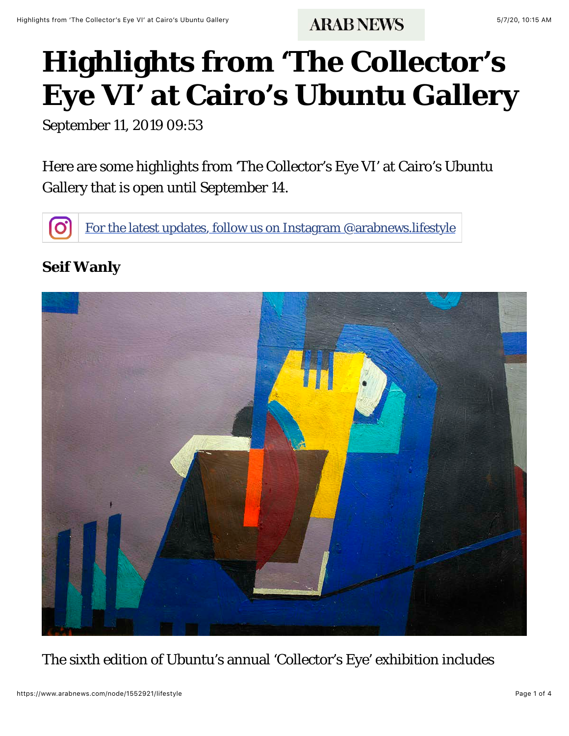## **Highlights from 'The Collector's Eye VI' at Cairo's Ubuntu Gallery**

September 11, 2019 09:53

Here are some highlights from 'The Collector's Eye VI' at Cairo's Ubuntu Gallery that is open until September 14.

[For the latest updates, follow us on Instagram @arabnews.lifestyle](https://www.instagram.com/arabnews.lifestyle)

## **Seif Wanly**



The sixth edition of Ubuntu's annual 'Collector's Eye' exhibition includes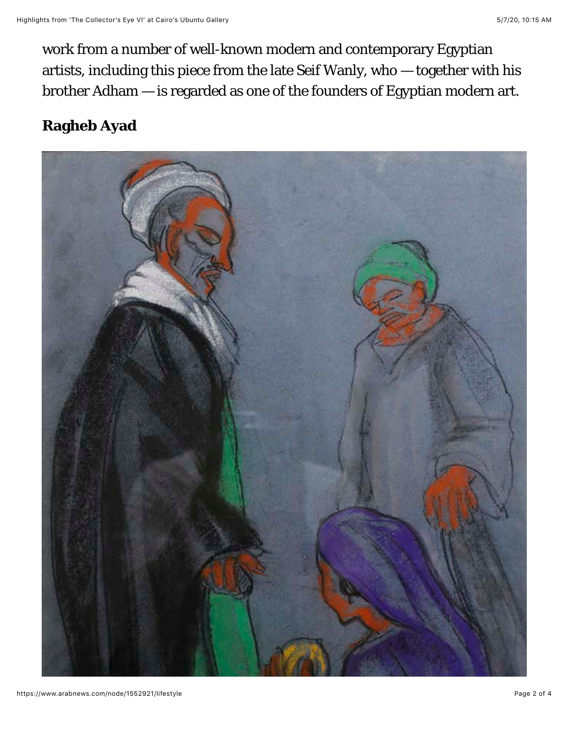work from a number of well-known modern and contemporary Egyptian artists, including this piece from the late Seif Wanly, who — together with his brother Adham — is regarded as one of the founders of Egyptian modern art.

## **Ragheb Ayad**

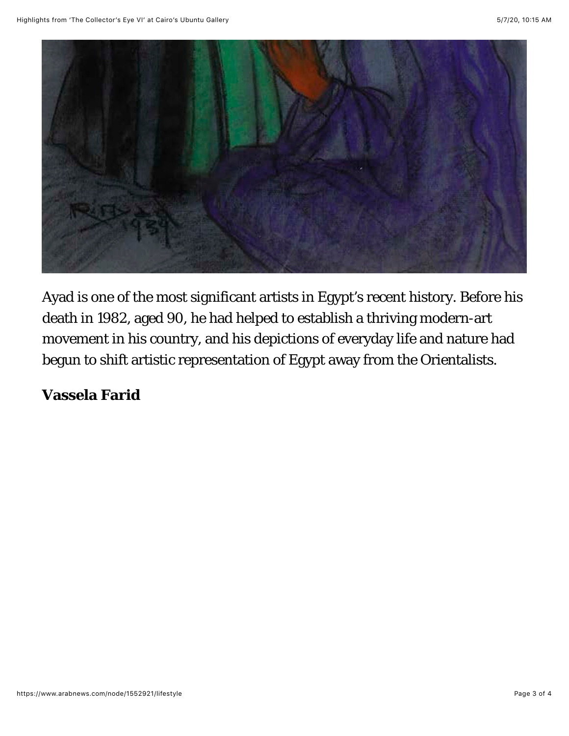

Ayad is one of the most significant artists in Egypt's recent history. Before his death in 1982, aged 90, he had helped to establish a thriving modern-art movement in his country, and his depictions of everyday life and nature had begun to shift artistic representation of Egypt away from the Orientalists.

**Vassela Farid**